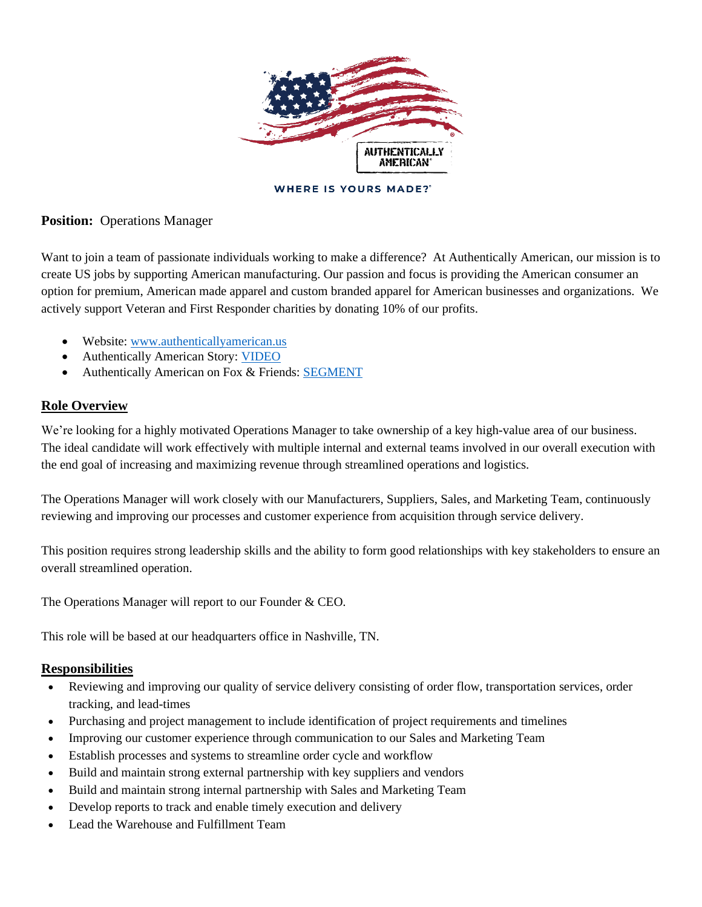

**WHERE IS YOURS MADE?"** 

## **Position:** Operations Manager

Want to join a team of passionate individuals working to make a difference? At Authentically American, our mission is to create US jobs by supporting American manufacturing. Our passion and focus is providing the American consumer an option for premium, American made apparel and custom branded apparel for American businesses and organizations. We actively support Veteran and First Responder charities by donating 10% of our profits.

- Website: www.authenticallyamerican.us
- Authentically American Story: VIDEO
- Authentically American on Fox & Friends: SEGMENT

## **Role Overview**

We're looking for a highly motivated Operations Manager to take ownership of a key high-value area of our business. The ideal candidate will work effectively with multiple internal and external teams involved in our overall execution with the end goal of increasing and maximizing revenue through streamlined operations and logistics.

The Operations Manager will work closely with our Manufacturers, Suppliers, Sales, and Marketing Team, continuously reviewing and improving our processes and customer experience from acquisition through service delivery.

This position requires strong leadership skills and the ability to form good relationships with key stakeholders to ensure an overall streamlined operation.

The Operations Manager will report to our Founder & CEO.

This role will be based at our headquarters office in Nashville, TN.

#### **Responsibilities**

- Reviewing and improving our quality of service delivery consisting of order flow, transportation services, order tracking, and lead-times
- Purchasing and project management to include identification of project requirements and timelines
- Improving our customer experience through communication to our Sales and Marketing Team
- Establish processes and systems to streamline order cycle and workflow
- Build and maintain strong external partnership with key suppliers and vendors
- Build and maintain strong internal partnership with Sales and Marketing Team
- Develop reports to track and enable timely execution and delivery
- Lead the Warehouse and Fulfillment Team